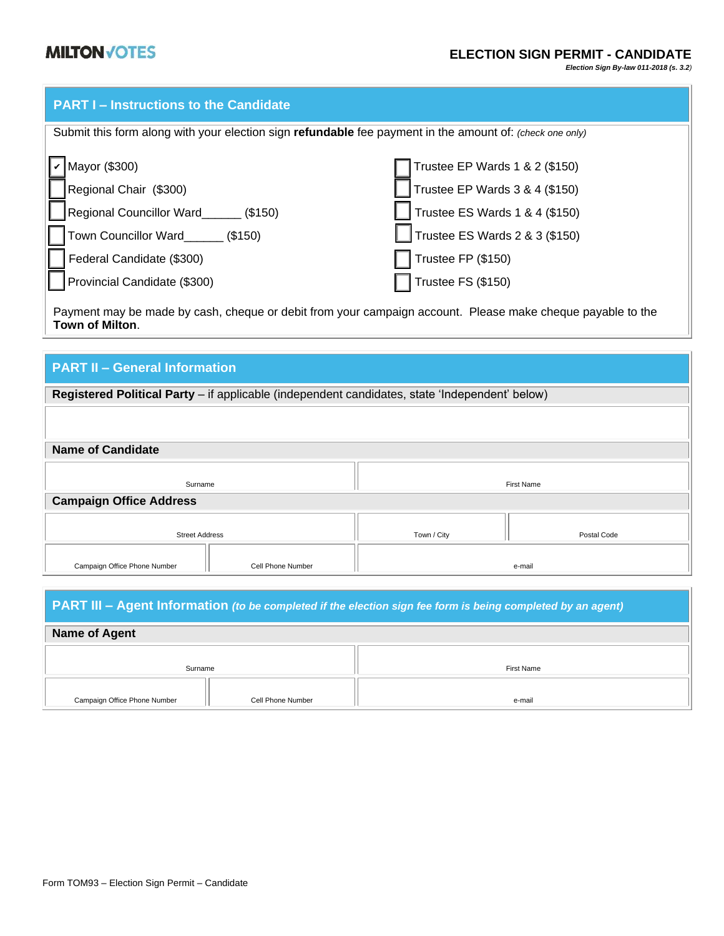*Election Sign By-law 011-2018 (s. 3.2)*

|  | <b>PART I-Instructions to the Candidate</b> |
|--|---------------------------------------------|
|  |                                             |

| Submit this form along with your election sign refundable fee payment in the amount of: (check one only)                                                                                                                      |                                |  |  |  |
|-------------------------------------------------------------------------------------------------------------------------------------------------------------------------------------------------------------------------------|--------------------------------|--|--|--|
|                                                                                                                                                                                                                               |                                |  |  |  |
| $\nu$ Mayor (\$300)                                                                                                                                                                                                           | Trustee EP Wards 1 & 2 (\$150) |  |  |  |
| Regional Chair (\$300)                                                                                                                                                                                                        | Trustee EP Wards 3 & 4 (\$150) |  |  |  |
| Regional Councillor Ward<br>[\$150]                                                                                                                                                                                           | Trustee ES Wards 1 & 4 (\$150) |  |  |  |
| Town Councillor Ward_______ (\$150)                                                                                                                                                                                           | Trustee ES Wards 2 & 3 (\$150) |  |  |  |
| Federal Candidate (\$300)                                                                                                                                                                                                     | Trustee FP (\$150)             |  |  |  |
| Provincial Candidate (\$300)                                                                                                                                                                                                  | $\sqrt{ }$ Trustee FS (\$150)  |  |  |  |
| Professor and the contract of the contract of the contract of the contract of the contract of the contract of the contract of the contract of the contract of the contract of the contract of the contract of the contract of |                                |  |  |  |

Payment may be made by cash, cheque or debit from your campaign account. Please make cheque payable to the **Town of Milton**.

| <b>PART II - General Information</b>                                                           |                   |                   |             |  |
|------------------------------------------------------------------------------------------------|-------------------|-------------------|-------------|--|
| Registered Political Party - if applicable (independent candidates, state 'Independent' below) |                   |                   |             |  |
|                                                                                                |                   |                   |             |  |
|                                                                                                |                   |                   |             |  |
| <b>Name of Candidate</b>                                                                       |                   |                   |             |  |
| Surname                                                                                        |                   | <b>First Name</b> |             |  |
| <b>Campaign Office Address</b>                                                                 |                   |                   |             |  |
| <b>Street Address</b>                                                                          |                   | Town / City       | Postal Code |  |
| Campaign Office Phone Number                                                                   | Cell Phone Number |                   | e-mail      |  |

| <b>PART III – Agent Information</b> (to be completed if the election sign fee form is being completed by an agent) |            |  |  |
|--------------------------------------------------------------------------------------------------------------------|------------|--|--|
| Name of Agent                                                                                                      |            |  |  |
| Surname                                                                                                            | First Name |  |  |
| Cell Phone Number<br>Campaign Office Phone Number                                                                  | e-mail     |  |  |